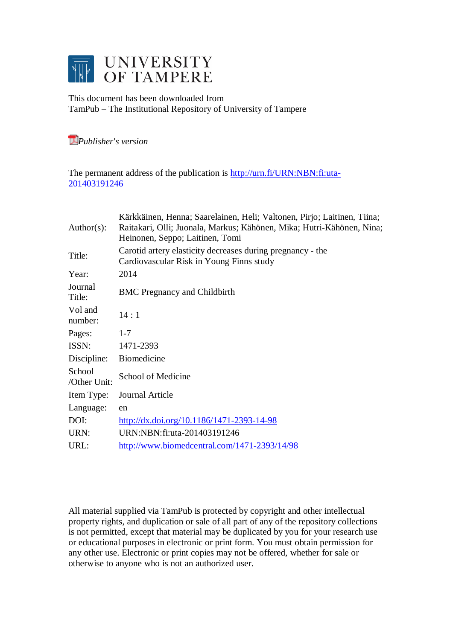

This document has been downloaded from TamPub – The Institutional Repository of University of Tampere

*[P](http://tampub.uta.fi/english/haekokoversio.php?id=1007)ublisher's version* 

The permanent address of the publication is [http://urn.fi/URN:NBN:fi:uta-](http://urn.fi/URN:NBN:fi:uta-201403191246)[201403191246](http://urn.fi/URN:NBN:fi:uta-201403191246)

| Kärkkäinen, Henna; Saarelainen, Heli; Valtonen, Pirjo; Laitinen, Tiina;<br>Raitakari, Olli; Juonala, Markus; Kähönen, Mika; Hutri-Kähönen, Nina;<br>Heinonen, Seppo; Laitinen, Tomi |
|-------------------------------------------------------------------------------------------------------------------------------------------------------------------------------------|
| Carotid artery elasticity decreases during pregnancy - the<br>Cardiovascular Risk in Young Finns study                                                                              |
| 2014                                                                                                                                                                                |
| <b>BMC</b> Pregnancy and Childbirth                                                                                                                                                 |
| 14:1                                                                                                                                                                                |
| $1 - 7$                                                                                                                                                                             |
| 1471-2393                                                                                                                                                                           |
| <b>Biomedicine</b>                                                                                                                                                                  |
| School of Medicine                                                                                                                                                                  |
| Journal Article                                                                                                                                                                     |
| en                                                                                                                                                                                  |
| http://dx.doi.org/10.1186/1471-2393-14-98                                                                                                                                           |
| URN:NBN:fi:uta-201403191246                                                                                                                                                         |
| http://www.biomedcentral.com/1471-2393/14/98                                                                                                                                        |
|                                                                                                                                                                                     |

All material supplied via TamPub is protected by copyright and other intellectual property rights, and duplication or sale of all part of any of the repository collections is not permitted, except that material may be duplicated by you for your research use or educational purposes in electronic or print form. You must obtain permission for any other use. Electronic or print copies may not be offered, whether for sale or otherwise to anyone who is not an authorized user.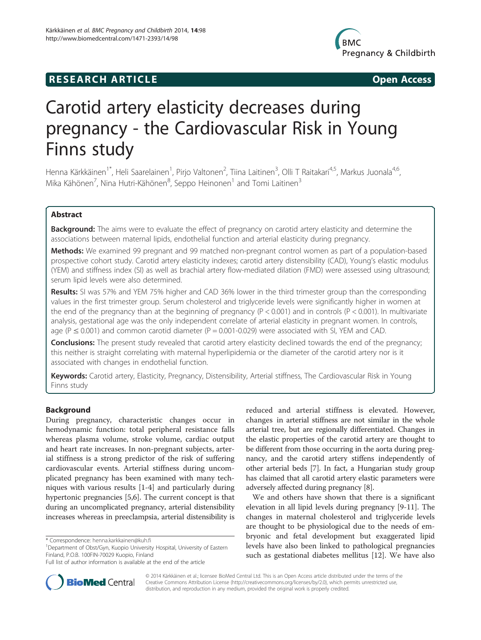# **RESEARCH ARTICLE Example 2014 The SEAR CH ACCESS**



# Carotid artery elasticity decreases during pregnancy - the Cardiovascular Risk in Young Finns study

Henna Kärkkäinen<sup>1\*</sup>, Heli Saarelainen<sup>1</sup>, Pirjo Valtonen<sup>2</sup>, Tiina Laitinen<sup>3</sup>, Olli T Raitakari<sup>4,5</sup>, Markus Juonala<sup>4,6</sup>, Mika Kähönen $^7$ , Nina Hutri-Kähönen $^8$ , Seppo Heinonen $^1$  and Tomi Laitinen $^3$ 

# Abstract

Background: The aims were to evaluate the effect of pregnancy on carotid artery elasticity and determine the associations between maternal lipids, endothelial function and arterial elasticity during pregnancy.

Methods: We examined 99 pregnant and 99 matched non-pregnant control women as part of a population-based prospective cohort study. Carotid artery elasticity indexes; carotid artery distensibility (CAD), Young's elastic modulus (YEM) and stiffness index (SI) as well as brachial artery flow-mediated dilation (FMD) were assessed using ultrasound; serum lipid levels were also determined.

Results: SI was 57% and YEM 75% higher and CAD 36% lower in the third trimester group than the corresponding values in the first trimester group. Serum cholesterol and triglyceride levels were significantly higher in women at the end of the pregnancy than at the beginning of pregnancy ( $P < 0.001$ ) and in controls ( $P < 0.001$ ). In multivariate analysis, gestational age was the only independent correlate of arterial elasticity in pregnant women. In controls, age ( $P \le 0.001$ ) and common carotid diameter ( $P = 0.001$ -0.029) were associated with SI, YEM and CAD.

**Conclusions:** The present study revealed that carotid artery elasticity declined towards the end of the pregnancy; this neither is straight correlating with maternal hyperlipidemia or the diameter of the carotid artery nor is it associated with changes in endothelial function.

Keywords: Carotid artery, Elasticity, Pregnancy, Distensibility, Arterial stiffness, The Cardiovascular Risk in Young Finns study

# Background

During pregnancy, characteristic changes occur in hemodynamic function: total peripheral resistance falls whereas plasma volume, stroke volume, cardiac output and heart rate increases. In non-pregnant subjects, arterial stiffness is a strong predictor of the risk of suffering cardiovascular events. Arterial stiffness during uncomplicated pregnancy has been examined with many techniques with various results [[1-4](#page-6-0)] and particularly during hypertonic pregnancies [[5,6\]](#page-7-0). The current concept is that during an uncomplicated pregnancy, arterial distensibility increases whereas in preeclampsia, arterial distensibility is

<sup>1</sup>Department of Obst/Gyn, Kuopio University Hospital, University of Eastern Finland, P.O.B. 100FIN-70029 Kuopio, Finland

reduced and arterial stiffness is elevated. However, changes in arterial stiffness are not similar in the whole arterial tree, but are regionally differentiated. Changes in the elastic properties of the carotid artery are thought to be different from those occurring in the aorta during pregnancy, and the carotid artery stiffens independently of other arterial beds [\[7](#page-7-0)]. In fact, a Hungarian study group has claimed that all carotid artery elastic parameters were adversely affected during pregnancy [[8](#page-7-0)].

We and others have shown that there is a significant elevation in all lipid levels during pregnancy [\[9](#page-7-0)-[11\]](#page-7-0). The changes in maternal cholesterol and triglyceride levels are thought to be physiological due to the needs of embryonic and fetal development but exaggerated lipid levels have also been linked to pathological pregnancies such as gestational diabetes mellitus [\[12](#page-7-0)]. We have also



© 2014 Kärkkäinen et al.; licensee BioMed Central Ltd. This is an Open Access article distributed under the terms of the Creative Commons Attribution License (<http://creativecommons.org/licenses/by/2.0>), which permits unrestricted use, distribution, and reproduction in any medium, provided the original work is properly credited.

<sup>\*</sup> Correspondence: [henna.karkkainen@kuh.fi](mailto:henna.karkkainen@kuh.fi) <sup>1</sup>

Full list of author information is available at the end of the article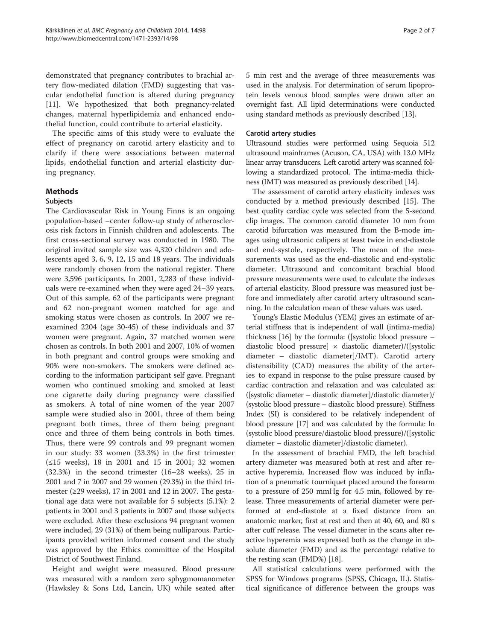demonstrated that pregnancy contributes to brachial artery flow-mediated dilation (FMD) suggesting that vascular endothelial function is altered during pregnancy [[11\]](#page-7-0). We hypothesized that both pregnancy-related changes, maternal hyperlipidemia and enhanced endothelial function, could contribute to arterial elasticity.

The specific aims of this study were to evaluate the effect of pregnancy on carotid artery elasticity and to clarify if there were associations between maternal lipids, endothelial function and arterial elasticity during pregnancy.

# Methods

#### **Subjects**

The Cardiovascular Risk in Young Finns is an ongoing population-based –center follow-up study of atherosclerosis risk factors in Finnish children and adolescents. The first cross-sectional survey was conducted in 1980. The original invited sample size was 4,320 children and adolescents aged 3, 6, 9, 12, 15 and 18 years. The individuals were randomly chosen from the national register. There were 3,596 participants. In 2001, 2,283 of these individuals were re-examined when they were aged 24–39 years. Out of this sample, 62 of the participants were pregnant and 62 non-pregnant women matched for age and smoking status were chosen as controls. In 2007 we reexamined 2204 (age 30-45) of these individuals and 37 women were pregnant. Again, 37 matched women were chosen as controls. In both 2001 and 2007, 10% of women in both pregnant and control groups were smoking and 90% were non-smokers. The smokers were defined according to the information participant self gave. Pregnant women who continued smoking and smoked at least one cigarette daily during pregnancy were classified as smokers. A total of nine women of the year 2007 sample were studied also in 2001, three of them being pregnant both times, three of them being pregnant once and three of them being controls in both times. Thus, there were 99 controls and 99 pregnant women in our study: 33 women (33.3%) in the first trimester (≤15 weeks), 18 in 2001 and 15 in 2001; 32 women (32.3%) in the second trimester (16–28 weeks), 25 in 2001 and 7 in 2007 and 29 women (29.3%) in the third trimester (≥29 weeks), 17 in 2001 and 12 in 2007. The gestational age data were not available for 5 subjects (5.1%): 2 patients in 2001 and 3 patients in 2007 and those subjects were excluded. After these exclusions 94 pregnant women were included, 29 (31%) of them being nulliparous. Participants provided written informed consent and the study was approved by the Ethics committee of the Hospital District of Southwest Finland.

Height and weight were measured. Blood pressure was measured with a random zero sphygmomanometer (Hawksley & Sons Ltd, Lancin, UK) while seated after

5 min rest and the average of three measurements was used in the analysis. For determination of serum lipoprotein levels venous blood samples were drawn after an overnight fast. All lipid determinations were conducted using standard methods as previously described [[13\]](#page-7-0).

# Carotid artery studies

Ultrasound studies were performed using Sequoia 512 ultrasound mainframes (Acuson, CA, USA) with 13.0 MHz linear array transducers. Left carotid artery was scanned following a standardized protocol. The intima-media thickness (IMT) was measured as previously described [\[14\]](#page-7-0).

The assessment of carotid artery elasticity indexes was conducted by a method previously described [[15\]](#page-7-0). The best quality cardiac cycle was selected from the 5-second clip images. The common carotid diameter 10 mm from carotid bifurcation was measured from the B-mode images using ultrasonic calipers at least twice in end-diastole and end-systole, respectively. The mean of the measurements was used as the end-diastolic and end-systolic diameter. Ultrasound and concomitant brachial blood pressure measurements were used to calculate the indexes of arterial elasticity. Blood pressure was measured just before and immediately after carotid artery ultrasound scanning. In the calculation mean of these values was used.

Young's Elastic Modulus (YEM) gives an estimate of arterial stiffness that is independent of wall (intima-media) thickness [\[16\]](#page-7-0) by the formula: ([systolic blood pressure – diastolic blood pressure] × diastolic diameter)/([systolic diameter – diastolic diameter]/IMT). Carotid artery distensibility (CAD) measures the ability of the arteries to expand in response to the pulse pressure caused by cardiac contraction and relaxation and was calculated as: ([systolic diameter – diastolic diameter]/diastolic diameter)/ (systolic blood pressure – diastolic blood pressure). Stiffness Index (SI) is considered to be relatively independent of blood pressure [\[17](#page-7-0)] and was calculated by the formula: ln (systolic blood pressure/diastolic blood pressure)/([systolic diameter – diastolic diameter]/diastolic diameter).

In the assessment of brachial FMD, the left brachial artery diameter was measured both at rest and after reactive hyperemia. Increased flow was induced by inflation of a pneumatic tourniquet placed around the forearm to a pressure of 250 mmHg for 4.5 min, followed by release. Three measurements of arterial diameter were performed at end-diastole at a fixed distance from an anatomic marker, first at rest and then at 40, 60, and 80 s after cuff release. The vessel diameter in the scans after reactive hyperemia was expressed both as the change in absolute diameter (FMD) and as the percentage relative to the resting scan (FMD%) [[18](#page-7-0)].

All statistical calculations were performed with the SPSS for Windows programs (SPSS, Chicago, IL). Statistical significance of difference between the groups was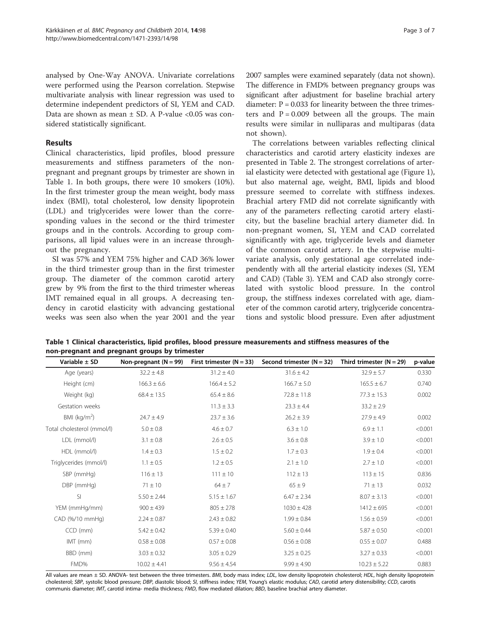<span id="page-3-0"></span>analysed by One-Way ANOVA. Univariate correlations were performed using the Pearson correlation. Stepwise multivariate analysis with linear regression was used to determine independent predictors of SI, YEM and CAD. Data are shown as mean  $\pm$  SD. A P-value <0.05 was considered statistically significant.

# Results

Clinical characteristics, lipid profiles, blood pressure measurements and stiffness parameters of the nonpregnant and pregnant groups by trimester are shown in Table 1. In both groups, there were 10 smokers (10%). In the first trimester group the mean weight, body mass index (BMI), total cholesterol, low density lipoprotein (LDL) and triglycerides were lower than the corresponding values in the second or the third trimester groups and in the controls. According to group comparisons, all lipid values were in an increase throughout the pregnancy.

SI was 57% and YEM 75% higher and CAD 36% lower in the third trimester group than in the first trimester group. The diameter of the common carotid artery grew by 9% from the first to the third trimester whereas IMT remained equal in all groups. A decreasing tendency in carotid elasticity with advancing gestational weeks was seen also when the year 2001 and the year

2007 samples were examined separately (data not shown). The difference in FMD% between pregnancy groups was significant after adjustment for baseline brachial artery diameter:  $P = 0.033$  for linearity between the three trimesters and  $P = 0.009$  between all the groups. The main results were similar in nulliparas and multiparas (data not shown).

The correlations between variables reflecting clinical characteristics and carotid artery elasticity indexes are presented in Table [2.](#page-4-0) The strongest correlations of arterial elasticity were detected with gestational age (Figure [1](#page-4-0)), but also maternal age, weight, BMI, lipids and blood pressure seemed to correlate with stiffness indexes. Brachial artery FMD did not correlate significantly with any of the parameters reflecting carotid artery elasticity, but the baseline brachial artery diameter did. In non-pregnant women, SI, YEM and CAD correlated significantly with age, triglyceride levels and diameter of the common carotid artery. In the stepwise multivariate analysis, only gestational age correlated independently with all the arterial elasticity indexes (SI, YEM and CAD) (Table [3\)](#page-5-0). YEM and CAD also strongly correlated with systolic blood pressure. In the control group, the stiffness indexes correlated with age, diameter of the common carotid artery, triglyceride concentrations and systolic blood pressure. Even after adjustment

Table 1 Clinical characteristics, lipid profiles, blood pressure measurements and stiffness measures of the non-pregnant and pregnant groups by trimester

| Variable $\pm$ SD          | Non-pregnant $(N = 99)$ | First trimester $(N = 33)$ | Second trimester $(N = 32)$ | Third trimester $(N = 29)$ | p-value |
|----------------------------|-------------------------|----------------------------|-----------------------------|----------------------------|---------|
| Age (years)                | $32.2 \pm 4.8$          | $31.2 \pm 4.0$             | $31.6 \pm 4.2$              | $32.9 \pm 5.7$             | 0.330   |
| Height (cm)                | $166.3 \pm 6.6$         | $166.4 \pm 5.2$            | $166.7 \pm 5.0$             | $165.5 \pm 6.7$            | 0.740   |
| Weight (kg)                | $68.4 \pm 13.5$         | $65.4 \pm 8.6$             | $72.8 \pm 11.8$             | $77.3 \pm 15.3$            | 0.002   |
| Gestation weeks            |                         | $11.3 \pm 3.3$             | $23.3 \pm 4.4$              | $33.2 \pm 2.9$             |         |
| BMI $(kq/m2)$              | $24.7 \pm 4.9$          | $23.7 \pm 3.6$             | $26.2 \pm 3.9$              | $27.9 \pm 4.9$             | 0.002   |
| Total cholesterol (mmol/l) | $5.0 \pm 0.8$           | $4.6 \pm 0.7$              | $6.3 \pm 1.0$               | $6.9 \pm 1.1$              | < 0.001 |
| LDL (mmol/l)               | $3.1 \pm 0.8$           | $2.6 \pm 0.5$              | $3.6 \pm 0.8$               | $3.9 \pm 1.0$              | < 0.001 |
| HDL (mmol/l)               | $1.4 \pm 0.3$           | $1.5 \pm 0.2$              | $1.7 \pm 0.3$               | $1.9 \pm 0.4$              | < 0.001 |
| Triglycerides (mmol/l)     | $1.1 \pm 0.5$           | $1.2 \pm 0.5$              | $2.1 \pm 1.0$               | $2.7 \pm 1.0$              | < 0.001 |
| SBP (mmHg)                 | $116 \pm 13$            | $111 \pm 10$               | $112 \pm 13$                | $113 \pm 15$               | 0.836   |
| DBP (mmHg)                 | $71 \pm 10$             | $64 \pm 7$                 | $65 \pm 9$                  | $71 \pm 13$                | 0.032   |
| SI                         | $5.50 \pm 2.44$         | $5.15 \pm 1.67$            | $6.47 \pm 2.34$             | $8.07 \pm 3.13$            | < 0.001 |
| YEM (mmHg/mm)              | $900 \pm 439$           | $805 \pm 278$              | $1030 \pm 428$              | $1412 \pm 695$             | < 0.001 |
| CAD (%/10 mmHq)            | $2.24 \pm 0.87$         | $2.43 \pm 0.82$            | $1.99 \pm 0.84$             | $1.56 \pm 0.59$            | < 0.001 |
| $CCD$ (mm)                 | $5.42 \pm 0.42$         | $5.39 \pm 0.40$            | $5.60 \pm 0.44$             | $5.87 \pm 0.50$            | < 0.001 |
| IMT (mm)                   | $0.58 \pm 0.08$         | $0.57 \pm 0.08$            | $0.56 \pm 0.08$             | $0.55 \pm 0.07$            | 0.488   |
| BBD (mm)                   | $3.03 \pm 0.32$         | $3.05 \pm 0.29$            | $3.25 \pm 0.25$             | $3.27 \pm 0.33$            | < 0.001 |
| FMD%                       | $10.02 \pm 4.41$        | $9.56 \pm 4.54$            | $9.99 \pm 4.90$             | $10.23 \pm 5.22$           | 0.883   |

All values are mean ± SD. ANOVA- test between the three trimesters. BMI, body mass index; LDL, low density lipoprotein cholesterol; HDL, high density lipoprotein cholesterol; SBP, systolic blood pressure; DBP, diastolic blood; SI, stiffness index; YEM, Young's elastic modulus; CAD, carotid artery distensibility; CCD, carotis communis diameter; IMT, carotid intima- media thickness; FMD, flow mediated dilation; BBD, baseline brachial artery diameter.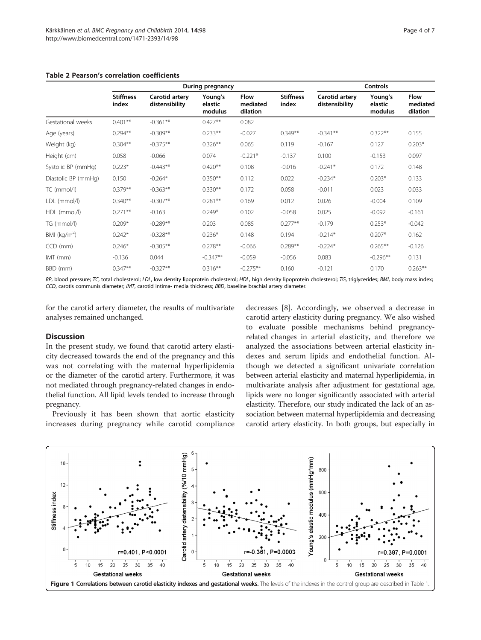|                     | During pregnancy          |                                  |                               |                                     | Controls                  |                                  |                               |                                     |
|---------------------|---------------------------|----------------------------------|-------------------------------|-------------------------------------|---------------------------|----------------------------------|-------------------------------|-------------------------------------|
|                     | <b>Stiffness</b><br>index | Carotid artery<br>distensibility | Young's<br>elastic<br>modulus | <b>Flow</b><br>mediated<br>dilation | <b>Stiffness</b><br>index | Carotid artery<br>distensibility | Young's<br>elastic<br>modulus | <b>Flow</b><br>mediated<br>dilation |
| Gestational weeks   | $0.401**$                 | $-0.361**$                       | $0.427**$                     | 0.082                               |                           |                                  |                               |                                     |
| Age (years)         | $0.294**$                 | $-0.309**$                       | $0.233**$                     | $-0.027$                            | $0.349**$                 | $-0.341**$                       | $0.322**$                     | 0.155                               |
| Weight (kg)         | $0.304**$                 | $-0.375**$                       | $0.326**$                     | 0.065                               | 0.119                     | $-0.167$                         | 0.127                         | $0.203*$                            |
| Height (cm)         | 0.058                     | $-0.066$                         | 0.074                         | $-0.221*$                           | $-0.137$                  | 0.100                            | $-0.153$                      | 0.097                               |
| Systolic BP (mmHg)  | $0.223*$                  | $-0.443**$                       | $0.420**$                     | 0.108                               | $-0.016$                  | $-0.241*$                        | 0.172                         | 0.148                               |
| Diastolic BP (mmHg) | 0.150                     | $-0.264*$                        | $0.350**$                     | 0.112                               | 0.022                     | $-0.234*$                        | $0.203*$                      | 0.133                               |
| TC (mmol/l)         | $0.379**$                 | $-0.363**$                       | $0.330**$                     | 0.172                               | 0.058                     | $-0.011$                         | 0.023                         | 0.033                               |
| LDL (mmol/l)        | $0.340**$                 | $-0.307**$                       | $0.281**$                     | 0.169                               | 0.012                     | 0.026                            | $-0.004$                      | 0.109                               |
| HDL (mmol/l)        | $0.271**$                 | $-0.163$                         | $0.249*$                      | 0.102                               | $-0.058$                  | 0.025                            | $-0.092$                      | $-0.161$                            |
| TG (mmol/l)         | $0.209*$                  | $-0.289**$                       | 0.203                         | 0.085                               | $0.277**$                 | $-0.179$                         | $0.253*$                      | $-0.042$                            |
| BMI ( $kg/m2$ )     | $0.242*$                  | $-0.328**$                       | $0.236*$                      | 0.148                               | 0.194                     | $-0.214*$                        | $0.207*$                      | 0.162                               |
| $CCD$ (mm)          | $0.246*$                  | $-0.305**$                       | $0.278**$                     | $-0.066$                            | $0.289**$                 | $-0.224*$                        | $0.265***$                    | $-0.126$                            |
| IMT (mm)            | $-0.136$                  | 0.044                            | $-0.347**$                    | $-0.059$                            | $-0.056$                  | 0.083                            | $-0.296**$                    | 0.131                               |
| BBD (mm)            | $0.347**$                 | $-0.327**$                       | $0.316**$                     | $-0.275**$                          | 0.160                     | $-0.121$                         | 0.170                         | $0.263**$                           |

## <span id="page-4-0"></span>Table 2 Pearson's correlation coefficients

BP, blood pressure; TC, total cholesterol; LDL, low density lipoprotein cholesterol; HDL, high density lipoprotein cholesterol; TG, triglycerides; BMI, body mass index; CCD, carotis communis diameter; IMT, carotid intima- media thickness; BBD, baseline brachial artery diameter.

for the carotid artery diameter, the results of multivariate analyses remained unchanged.

#### **Discussion**

In the present study, we found that carotid artery elasticity decreased towards the end of the pregnancy and this was not correlating with the maternal hyperlipidemia or the diameter of the carotid artery. Furthermore, it was not mediated through pregnancy-related changes in endothelial function. All lipid levels tended to increase through pregnancy.

Previously it has been shown that aortic elasticity increases during pregnancy while carotid compliance

decreases [[8\]](#page-7-0). Accordingly, we observed a decrease in carotid artery elasticity during pregnancy. We also wished to evaluate possible mechanisms behind pregnancyrelated changes in arterial elasticity, and therefore we analyzed the associations between arterial elasticity indexes and serum lipids and endothelial function. Although we detected a significant univariate correlation between arterial elasticity and maternal hyperlipidemia, in multivariate analysis after adjustment for gestational age, lipids were no longer significantly associated with arterial elasticity. Therefore, our study indicated the lack of an association between maternal hyperlipidemia and decreasing carotid artery elasticity. In both groups, but especially in

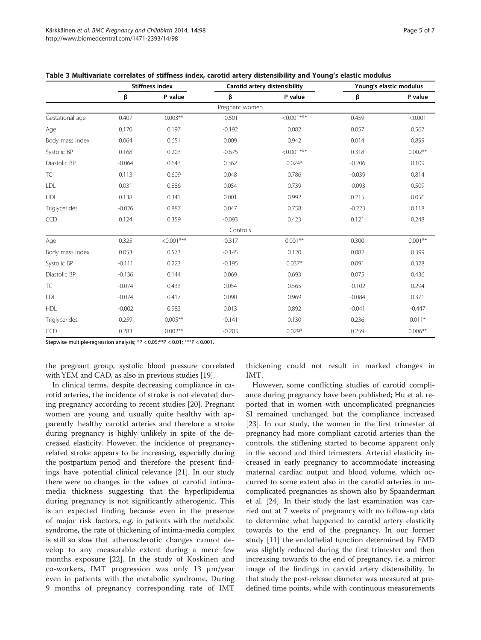|                 | <b>Stiffness index</b> |               | Carotid artery distensibility |               | Young's elastic modulus |            |
|-----------------|------------------------|---------------|-------------------------------|---------------|-------------------------|------------|
|                 | β                      | P value       | β                             | P value       | β                       | P value    |
|                 |                        |               | Pregnant women                |               |                         |            |
| Gestational age | 0.407                  | $0.003**$     | $-0.501$                      | $< 0.001$ *** | 0.459                   | < 0.001    |
| Age             | 0.170                  | 0.197         | $-0.192$                      | 0.082         | 0.057                   | 0.567      |
| Body mass index | 0.064                  | 0.651         | 0.009                         | 0.942         | 0.014                   | 0.899      |
| Systolic BP     | 0.168                  | 0.203         | $-0.675$                      | $<0.001***$   | 0.318                   | $0.002**$  |
| Diastolic BP    | $-0.064$               | 0.643         | 0.362                         | $0.024*$      | $-0.206$                | 0.109      |
| TC              | 0.113                  | 0.609         | 0.048                         | 0.786         | $-0.039$                | 0.814      |
| LDL             | 0.031                  | 0.886         | 0.054                         | 0.739         | $-0.093$                | 0.509      |
| <b>HDL</b>      | 0.138                  | 0.341         | 0.001                         | 0.992         | 0.215                   | 0.056      |
| Triglycerides   | $-0.026$               | 0.887         | 0.047                         | 0.758         | $-0.223$                | 0.118      |
| <b>CCD</b>      | 0.124                  | 0.359         | $-0.093$                      | 0.423         | 0.121                   | 0.248      |
|                 |                        |               | Controls                      |               |                         |            |
| Age             | 0.325                  | $< 0.001$ *** | $-0.317$                      | $0.001**$     | 0.300                   | $0.001***$ |
| Body mass index | 0.053                  | 0.573         | $-0.145$                      | 0.120         | 0.082                   | 0.399      |
| Systolic BP     | $-0.111$               | 0.223         | $-0.195$                      | $0.037*$      | 0.091                   | 0.328      |
| Diastolic BP    | $-0.136$               | 0.144         | 0.069                         | 0.693         | 0.075                   | 0.436      |
| TC              | $-0.074$               | 0.433         | 0.054                         | 0.565         | $-0.102$                | 0.294      |
| LDL             | $-0.074$               | 0.417         | 0.090                         | 0.969         | $-0.084$                | 0.371      |
| <b>HDL</b>      | $-0.002$               | 0.983         | 0.013                         | 0.892         | $-0.041$                | $-0.447$   |
| Triglycerides   | 0.259                  | $0.005***$    | $-0.141$                      | 0.130         | 0.236                   | $0.011*$   |
| CCD             | 0.283                  | $0.002**$     | $-0.203$                      | $0.029*$      | 0.259                   | $0.006**$  |

<span id="page-5-0"></span>

Stepwise multiple-regression analysis; \*P < 0.05;\*\*P < 0.01; \*\*\*P < 0.001.

the pregnant group, systolic blood pressure correlated with YEM and CAD, as also in previous studies [\[19\]](#page-7-0).

In clinical terms, despite decreasing compliance in carotid arteries, the incidence of stroke is not elevated during pregnancy according to recent studies [[20](#page-7-0)]. Pregnant women are young and usually quite healthy with apparently healthy carotid arteries and therefore a stroke during pregnancy is highly unlikely in spite of the decreased elasticity. However, the incidence of pregnancyrelated stroke appears to be increasing, especially during the postpartum period and therefore the present findings have potential clinical relevance [\[21\]](#page-7-0). In our study there were no changes in the values of carotid intimamedia thickness suggesting that the hyperlipidemia during pregnancy is not significantly atherogenic. This is an expected finding because even in the presence of major risk factors, e.g. in patients with the metabolic syndrome, the rate of thickening of intima-media complex is still so slow that atherosclerotic changes cannot develop to any measurable extent during a mere few months exposure [[22\]](#page-7-0). In the study of Koskinen and co-workers, IMT progression was only 13 μm/year even in patients with the metabolic syndrome. During 9 months of pregnancy corresponding rate of IMT

thickening could not result in marked changes in IMT.

However, some conflicting studies of carotid compliance during pregnancy have been published; Hu et al. reported that in women with uncomplicated pregnancies SI remained unchanged but the compliance increased [[23\]](#page-7-0). In our study, the women in the first trimester of pregnancy had more compliant carotid arteries than the controls, the stiffening started to become apparent only in the second and third trimesters. Arterial elasticity increased in early pregnancy to accommodate increasing maternal cardiac output and blood volume, which occurred to some extent also in the carotid arteries in uncomplicated pregnancies as shown also by Spaanderman et al. [[24\]](#page-7-0). In their study the last examination was carried out at 7 weeks of pregnancy with no follow-up data to determine what happened to carotid artery elasticity towards to the end of the pregnancy. In our former study [[11](#page-7-0)] the endothelial function determined by FMD was slightly reduced during the first trimester and then increasing towards to the end of pregnancy, i.e. a mirror image of the findings in carotid artery distensibility. In that study the post-release diameter was measured at predefined time points, while with continuous measurements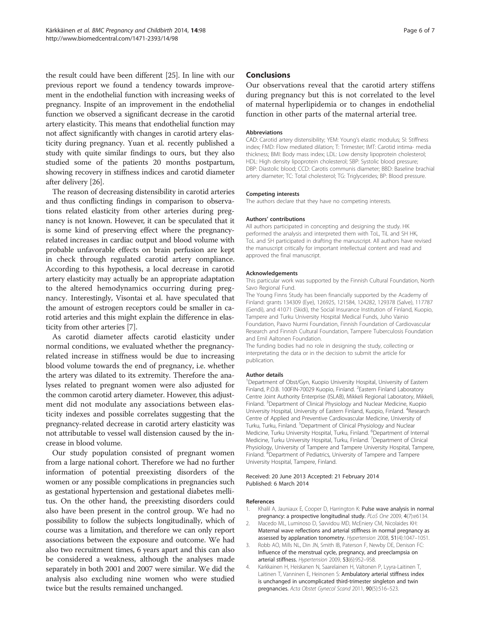<span id="page-6-0"></span>the result could have been different [[25](#page-7-0)]. In line with our previous report we found a tendency towards improvement in the endothelial function with increasing weeks of pregnancy. Inspite of an improvement in the endothelial function we observed a significant decrease in the carotid artery elasticity. This means that endothelial function may not affect significantly with changes in carotid artery elasticity during pregnancy. Yuan et al. recently published a study with quite similar findings to ours, but they also studied some of the patients 20 months postpartum, showing recovery in stiffness indices and carotid diameter after delivery [\[26\]](#page-7-0).

The reason of decreasing distensibility in carotid arteries and thus conflicting findings in comparison to observations related elasticity from other arteries during pregnancy is not known. However, it can be speculated that it is some kind of preserving effect where the pregnancyrelated increases in cardiac output and blood volume with probable unfavorable effects on brain perfusion are kept in check through regulated carotid artery compliance. According to this hypothesis, a local decrease in carotid artery elasticity may actually be an appropriate adaptation to the altered hemodynamics occurring during pregnancy. Interestingly, Visontai et al. have speculated that the amount of estrogen receptors could be smaller in carotid arteries and this might explain the difference in elasticity from other arteries [\[7](#page-7-0)].

As carotid diameter affects carotid elasticity under normal conditions, we evaluated whether the pregnancyrelated increase in stiffness would be due to increasing blood volume towards the end of pregnancy, i.e. whether the artery was dilated to its extremity. Therefore the analyses related to pregnant women were also adjusted for the common carotid artery diameter. However, this adjustment did not modulate any associations between elasticity indexes and possible correlates suggesting that the pregnancy-related decrease in carotid artery elasticity was not attributable to vessel wall distension caused by the increase in blood volume.

Our study population consisted of pregnant women from a large national cohort. Therefore we had no further information of potential preexisting disorders of the women or any possible complications in pregnancies such as gestational hypertension and gestational diabetes mellitus. On the other hand, the preexisting disorders could also have been present in the control group. We had no possibility to follow the subjects longitudinally, which of course was a limitation, and therefore we can only report associations between the exposure and outcome. We had also two recruitment times, 6 years apart and this can also be considered a weakness, although the analyses made separately in both 2001 and 2007 were similar. We did the analysis also excluding nine women who were studied twice but the results remained unchanged.

# Conclusions

Our observations reveal that the carotid artery stiffens during pregnancy but this is not correlated to the level of maternal hyperlipidemia or to changes in endothelial function in other parts of the maternal arterial tree.

#### Abbreviations

CAD: Carotid artery distensibility; YEM: Young's elastic modulus; SI: Stiffness index; FMD: Flow mediated dilation; T: Trimester; IMT: Carotid intima- media thickness; BMI: Body mass index; LDL: Low density lipoprotein cholesterol; HDL: High density lipoprotein cholesterol; SBP: Systolic blood pressure; DBP: Diastolic blood; CCD: Carotis communis diameter; BBD: Baseline brachial artery diameter; TC: Total cholesterol; TG: Triglycerides; BP: Blood pressure.

#### Competing interests

The authors declare that they have no competing interests.

#### Authors' contributions

All authors participated in concepting and designing the study. HK performed the analysis and interpreted them with ToL, TiL and SH HK, ToL and SH participated in drafting the manuscript. All authors have revised the manuscript critically for important intellectual content and read and approved the final manuscript.

#### Acknowledgements

This particular work was supported by the Finnish Cultural Foundation, North Savo Regional Fund.

The Young Finns Study has been financially supported by the Academy of Finland: grants 134309 (Eye), 126925, 121584, 124282, 129378 (Salve), 117787 (Gendi), and 41071 (Skidi), the Social Insurance Institution of Finland, Kuopio, Tampere and Turku University Hospital Medical Funds, Juho Vainio Foundation, Paavo Nurmi Foundation, Finnish Foundation of Cardiovascular Research and Finnish Cultural Foundation, Tampere Tuberculosis Foundation and Emil Aaltonen Foundation.

The funding bodies had no role in designing the study, collecting or interpretating the data or in the decision to submit the article for publication.

#### Author details

<sup>1</sup> Department of Obst/Gyn, Kuopio University Hospital, University of Eastern Finland, P.O.B. 100FIN-70029 Kuopio, Finland. <sup>2</sup>Eastern Finland Laboratory Centre Joint Authority Enterprise (ISLAB), Mikkeli Regional Laboratory, Mikkeli, Finland. <sup>3</sup>Department of Clinical Physiology and Nuclear Medicine, Kuopio University Hospital, University of Eastern Finland, Kuopio, Finland. <sup>4</sup>Research Centre of Applied and Preventive Cardiovascular Medicine, University of Turku, Turku, Finland. <sup>5</sup>Department of Clinical Physiology and Nuclear Medicine, Turku University Hospital, Turku, Finland. <sup>6</sup>Department of Internal Medicine, Turku University Hospital, Turku, Finland. <sup>7</sup>Department of Clinical Physiology, University of Tampere and Tampere University Hospital, Tampere, Finland. <sup>8</sup>Department of Pediatrics, University of Tampere and Tampere University Hospital, Tampere, Finland.

#### Received: 20 June 2013 Accepted: 21 February 2014 Published: 6 March 2014

#### References

- Khalil A, Jauniaux E, Cooper D, Harrington K: Pulse wave analysis in normal pregnancy: a prospective longitudinal study. PLoS One 2009, 4(7):e6134.
- 2. Macedo ML, Luminoso D, Savvidou MD, McEniery CM, Nicolaides KH: Maternal wave reflections and arterial stiffness in normal pregnancy as assessed by applanation tonometry. Hypertension 2008, 51(4):1047–1051.
- 3. Robb AO, Mills NL, Din JN, Smith IB, Paterson F, Newby DE, Denison FC: Influence of the menstrual cycle, pregnancy, and preeclampsia on arterial stiffness. Hypertension 2009, 53(6):952–958.
- 4. Karkkainen H, Heiskanen N, Saarelainen H, Valtonen P, Lyyra-Laitinen T, Laitinen T, Vanninen E, Heinonen S: Ambulatory arterial stiffness index is unchanged in uncomplicated third-trimester singleton and twin pregnancies. Acta Obstet Gynecol Scand 2011, 90(5):516–523.